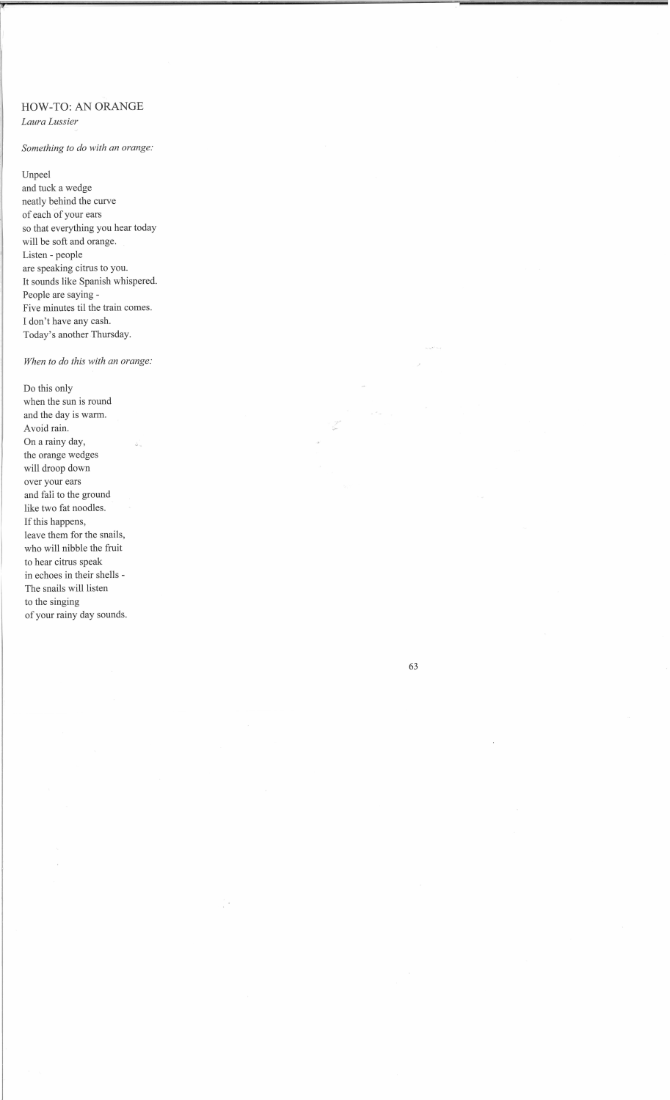## **HOW-TO:** AN ORANGE

*Laura Lussier* 

## *Something to do with an orange:*

Unpeel

and tuck a wedge neatly behind the curve of each of your ears so that everything you hear today will be soft and orange. Listen - people are speaking citrus to you. It sounds like Spanish whispered. People are saying - Five minutes til the train comes. I don't have any cash. Today's another Thursday.

## *When to do this with an orange:*

Do this only when the sun is round and the day is warm. Avoid rain. On a rainy day, the orange wedges will droop down over your ears and fali to the ground like two fat noodles. If this happens, leave them for the snails, who will nibble the fruit to hear citrus speak in echoes in their shells - The snails will listen to the singing of your rainy day sounds.

63